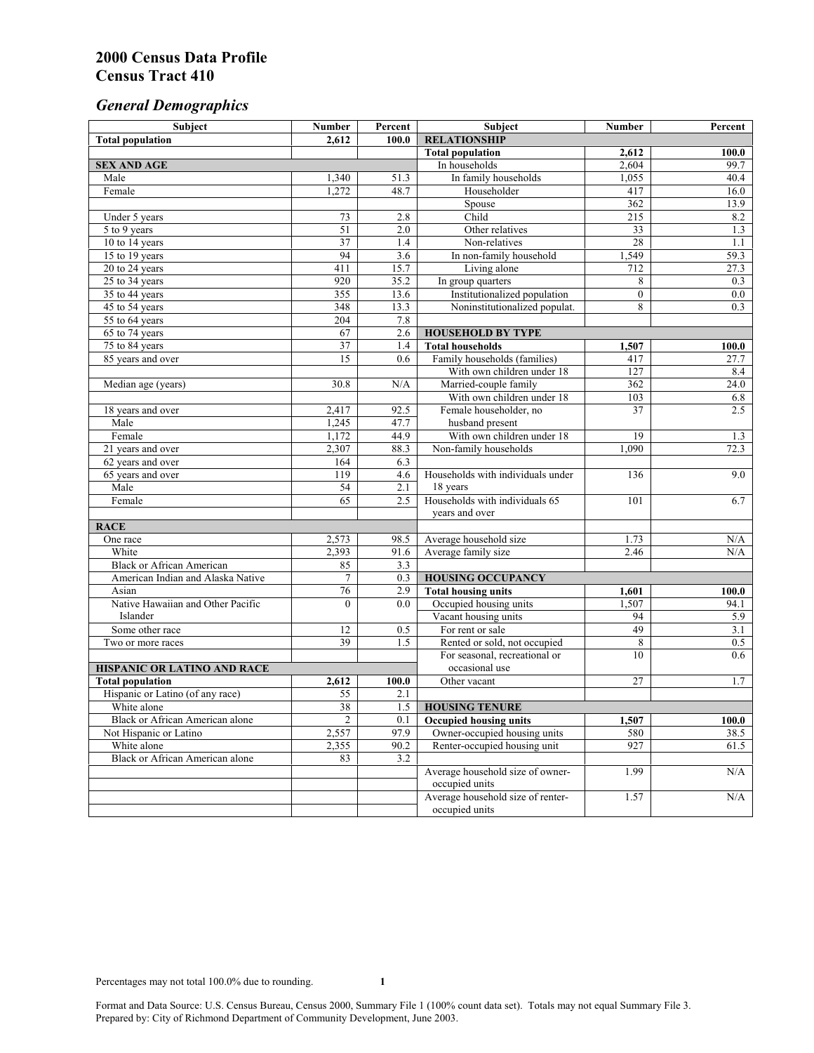# *General Demographics*

| 2,612<br>100.0<br><b>Total population</b><br><b>Total population</b><br>100.0<br>2,612<br>2,604<br>99.7<br><b>SEX AND AGE</b><br>In households<br>Male<br>In family households<br>1,055<br>40.4<br>1,340<br>51.3<br>Female<br>1,272<br>48.7<br>Householder<br>417<br>16.0<br>362<br>Spouse<br>13.9<br>Child<br>Under 5 years<br>215<br>8.2<br>73<br>2.8<br>51<br>$\overline{2.0}$<br>$\overline{33}$<br>Other relatives<br>1.3<br>5 to 9 years<br>$\overline{37}$<br>10 to 14 years<br>Non-relatives<br>28<br>1.1<br>1.4<br>94<br>15 to 19 years<br>3.6<br>In non-family household<br>1,549<br>59.3<br>411<br>15.7<br>Living alone<br>712<br>27.3<br>20 to 24 years<br>$25$ to 34 years<br>920<br>35.2<br>In group quarters<br>8<br>0.3<br>Institutionalized population<br>355<br>13.6<br>$\overline{0}$<br>0.0<br>35 to 44 years<br>8<br>348<br>13.3<br>Noninstitutionalized populat.<br>0.3<br>45 to 54 years<br>7.8<br>55 to 64 years<br>204<br>67<br>65 to 74 years<br>2.6<br><b>HOUSEHOLD BY TYPE</b><br>37<br><b>Total households</b><br>75 to 84 years<br>1.4<br>1,507<br>100.0<br>$\overline{15}$<br>Family households (families)<br>85 years and over<br>0.6<br>417<br>27.7<br>With own children under 18<br>127<br>8.4<br>Married-couple family<br>362<br>Median age (years)<br>30.8<br>N/A<br>24.0<br>With own children under 18<br>103<br>6.8<br>2.5<br>2,417<br>92.5<br>Female householder, no<br>37<br>18 years and over<br>47.7<br>1,245<br>husband present<br>Male<br>1,172<br>19<br>Female<br>44.9<br>With own children under 18<br>1.3<br>21 years and over<br>2,307<br>88.3<br>Non-family households<br>1,090<br>72.3<br>62 years and over<br>164<br>6.3<br>119<br>9.0<br>4.6<br>Households with individuals under<br>136<br>65 years and over<br>Male<br>54<br>2.1<br>18 years<br>65<br>Households with individuals 65<br>Female<br>2.5<br>101<br>6.7<br>years and over<br><b>RACE</b><br>One race<br>2,573<br>Average household size<br>1.73<br>N/A<br>98.5<br>2,393<br>White<br>Average family size<br>N/A<br>91.6<br>2.46<br><b>Black or African American</b><br>85<br>3.3<br>$\overline{7}$<br>0.3<br>American Indian and Alaska Native<br><b>HOUSING OCCUPANCY</b><br>76<br>2.9<br><b>Total housing units</b><br>Asian<br>100.0<br>1,601<br>Native Hawaiian and Other Pacific<br>$\theta$<br>Occupied housing units<br>1,507<br>94.1<br>0.0<br>Islander<br>Vacant housing units<br>94<br>5.9<br>49<br>12<br>For rent or sale<br>3.1<br>Some other race<br>0.5<br>39<br>1.5<br>Rented or sold, not occupied<br>8<br>0.5<br>Two or more races<br>For seasonal, recreational or<br>10<br>0.6<br>occasional use<br>HISPANIC OR LATINO AND RACE<br>$\overline{27}$<br><b>Total population</b><br>2,612<br>1.7<br>100.0<br>Other vacant<br>Hispanic or Latino (of any race)<br>55<br>2.1<br>$\overline{38}$<br>White alone<br>1.5<br><b>HOUSING TENURE</b><br>Black or African American alone<br>2<br>0.1<br><b>Occupied housing units</b><br>1,507<br>100.0<br>2,557<br>97.9<br>Owner-occupied housing units<br>580<br>Not Hispanic or Latino<br>38.5<br>White alone<br>90.2<br>Renter-occupied housing unit<br>927<br>2,355<br>61.5<br><b>Black or African American alone</b><br>3.2<br>83<br>Average household size of owner-<br>1.99<br>N/A<br>occupied units<br>Average household size of renter-<br>1.57<br>N/A | Subject | <b>Number</b> | Percent | Subject             | Number | Percent |
|------------------------------------------------------------------------------------------------------------------------------------------------------------------------------------------------------------------------------------------------------------------------------------------------------------------------------------------------------------------------------------------------------------------------------------------------------------------------------------------------------------------------------------------------------------------------------------------------------------------------------------------------------------------------------------------------------------------------------------------------------------------------------------------------------------------------------------------------------------------------------------------------------------------------------------------------------------------------------------------------------------------------------------------------------------------------------------------------------------------------------------------------------------------------------------------------------------------------------------------------------------------------------------------------------------------------------------------------------------------------------------------------------------------------------------------------------------------------------------------------------------------------------------------------------------------------------------------------------------------------------------------------------------------------------------------------------------------------------------------------------------------------------------------------------------------------------------------------------------------------------------------------------------------------------------------------------------------------------------------------------------------------------------------------------------------------------------------------------------------------------------------------------------------------------------------------------------------------------------------------------------------------------------------------------------------------------------------------------------------------------------------------------------------------------------------------------------------------------------------------------------------------------------------------------------------------------------------------------------------------------------------------------------------------------------------------------------------------------------------------------------------------------------------------------------------------------------------------------------------------------------------------------------------------------------------------------------------------------------------------------------------------------------------------------------------------------------------------------------------------------------------------------------------------------------------------------------------------------------------------------------------------------------------------------------------------------------------|---------|---------------|---------|---------------------|--------|---------|
|                                                                                                                                                                                                                                                                                                                                                                                                                                                                                                                                                                                                                                                                                                                                                                                                                                                                                                                                                                                                                                                                                                                                                                                                                                                                                                                                                                                                                                                                                                                                                                                                                                                                                                                                                                                                                                                                                                                                                                                                                                                                                                                                                                                                                                                                                                                                                                                                                                                                                                                                                                                                                                                                                                                                                                                                                                                                                                                                                                                                                                                                                                                                                                                                                                                                                                                                          |         |               |         | <b>RELATIONSHIP</b> |        |         |
|                                                                                                                                                                                                                                                                                                                                                                                                                                                                                                                                                                                                                                                                                                                                                                                                                                                                                                                                                                                                                                                                                                                                                                                                                                                                                                                                                                                                                                                                                                                                                                                                                                                                                                                                                                                                                                                                                                                                                                                                                                                                                                                                                                                                                                                                                                                                                                                                                                                                                                                                                                                                                                                                                                                                                                                                                                                                                                                                                                                                                                                                                                                                                                                                                                                                                                                                          |         |               |         |                     |        |         |
|                                                                                                                                                                                                                                                                                                                                                                                                                                                                                                                                                                                                                                                                                                                                                                                                                                                                                                                                                                                                                                                                                                                                                                                                                                                                                                                                                                                                                                                                                                                                                                                                                                                                                                                                                                                                                                                                                                                                                                                                                                                                                                                                                                                                                                                                                                                                                                                                                                                                                                                                                                                                                                                                                                                                                                                                                                                                                                                                                                                                                                                                                                                                                                                                                                                                                                                                          |         |               |         |                     |        |         |
|                                                                                                                                                                                                                                                                                                                                                                                                                                                                                                                                                                                                                                                                                                                                                                                                                                                                                                                                                                                                                                                                                                                                                                                                                                                                                                                                                                                                                                                                                                                                                                                                                                                                                                                                                                                                                                                                                                                                                                                                                                                                                                                                                                                                                                                                                                                                                                                                                                                                                                                                                                                                                                                                                                                                                                                                                                                                                                                                                                                                                                                                                                                                                                                                                                                                                                                                          |         |               |         |                     |        |         |
|                                                                                                                                                                                                                                                                                                                                                                                                                                                                                                                                                                                                                                                                                                                                                                                                                                                                                                                                                                                                                                                                                                                                                                                                                                                                                                                                                                                                                                                                                                                                                                                                                                                                                                                                                                                                                                                                                                                                                                                                                                                                                                                                                                                                                                                                                                                                                                                                                                                                                                                                                                                                                                                                                                                                                                                                                                                                                                                                                                                                                                                                                                                                                                                                                                                                                                                                          |         |               |         |                     |        |         |
|                                                                                                                                                                                                                                                                                                                                                                                                                                                                                                                                                                                                                                                                                                                                                                                                                                                                                                                                                                                                                                                                                                                                                                                                                                                                                                                                                                                                                                                                                                                                                                                                                                                                                                                                                                                                                                                                                                                                                                                                                                                                                                                                                                                                                                                                                                                                                                                                                                                                                                                                                                                                                                                                                                                                                                                                                                                                                                                                                                                                                                                                                                                                                                                                                                                                                                                                          |         |               |         |                     |        |         |
|                                                                                                                                                                                                                                                                                                                                                                                                                                                                                                                                                                                                                                                                                                                                                                                                                                                                                                                                                                                                                                                                                                                                                                                                                                                                                                                                                                                                                                                                                                                                                                                                                                                                                                                                                                                                                                                                                                                                                                                                                                                                                                                                                                                                                                                                                                                                                                                                                                                                                                                                                                                                                                                                                                                                                                                                                                                                                                                                                                                                                                                                                                                                                                                                                                                                                                                                          |         |               |         |                     |        |         |
|                                                                                                                                                                                                                                                                                                                                                                                                                                                                                                                                                                                                                                                                                                                                                                                                                                                                                                                                                                                                                                                                                                                                                                                                                                                                                                                                                                                                                                                                                                                                                                                                                                                                                                                                                                                                                                                                                                                                                                                                                                                                                                                                                                                                                                                                                                                                                                                                                                                                                                                                                                                                                                                                                                                                                                                                                                                                                                                                                                                                                                                                                                                                                                                                                                                                                                                                          |         |               |         |                     |        |         |
|                                                                                                                                                                                                                                                                                                                                                                                                                                                                                                                                                                                                                                                                                                                                                                                                                                                                                                                                                                                                                                                                                                                                                                                                                                                                                                                                                                                                                                                                                                                                                                                                                                                                                                                                                                                                                                                                                                                                                                                                                                                                                                                                                                                                                                                                                                                                                                                                                                                                                                                                                                                                                                                                                                                                                                                                                                                                                                                                                                                                                                                                                                                                                                                                                                                                                                                                          |         |               |         |                     |        |         |
|                                                                                                                                                                                                                                                                                                                                                                                                                                                                                                                                                                                                                                                                                                                                                                                                                                                                                                                                                                                                                                                                                                                                                                                                                                                                                                                                                                                                                                                                                                                                                                                                                                                                                                                                                                                                                                                                                                                                                                                                                                                                                                                                                                                                                                                                                                                                                                                                                                                                                                                                                                                                                                                                                                                                                                                                                                                                                                                                                                                                                                                                                                                                                                                                                                                                                                                                          |         |               |         |                     |        |         |
|                                                                                                                                                                                                                                                                                                                                                                                                                                                                                                                                                                                                                                                                                                                                                                                                                                                                                                                                                                                                                                                                                                                                                                                                                                                                                                                                                                                                                                                                                                                                                                                                                                                                                                                                                                                                                                                                                                                                                                                                                                                                                                                                                                                                                                                                                                                                                                                                                                                                                                                                                                                                                                                                                                                                                                                                                                                                                                                                                                                                                                                                                                                                                                                                                                                                                                                                          |         |               |         |                     |        |         |
|                                                                                                                                                                                                                                                                                                                                                                                                                                                                                                                                                                                                                                                                                                                                                                                                                                                                                                                                                                                                                                                                                                                                                                                                                                                                                                                                                                                                                                                                                                                                                                                                                                                                                                                                                                                                                                                                                                                                                                                                                                                                                                                                                                                                                                                                                                                                                                                                                                                                                                                                                                                                                                                                                                                                                                                                                                                                                                                                                                                                                                                                                                                                                                                                                                                                                                                                          |         |               |         |                     |        |         |
|                                                                                                                                                                                                                                                                                                                                                                                                                                                                                                                                                                                                                                                                                                                                                                                                                                                                                                                                                                                                                                                                                                                                                                                                                                                                                                                                                                                                                                                                                                                                                                                                                                                                                                                                                                                                                                                                                                                                                                                                                                                                                                                                                                                                                                                                                                                                                                                                                                                                                                                                                                                                                                                                                                                                                                                                                                                                                                                                                                                                                                                                                                                                                                                                                                                                                                                                          |         |               |         |                     |        |         |
|                                                                                                                                                                                                                                                                                                                                                                                                                                                                                                                                                                                                                                                                                                                                                                                                                                                                                                                                                                                                                                                                                                                                                                                                                                                                                                                                                                                                                                                                                                                                                                                                                                                                                                                                                                                                                                                                                                                                                                                                                                                                                                                                                                                                                                                                                                                                                                                                                                                                                                                                                                                                                                                                                                                                                                                                                                                                                                                                                                                                                                                                                                                                                                                                                                                                                                                                          |         |               |         |                     |        |         |
|                                                                                                                                                                                                                                                                                                                                                                                                                                                                                                                                                                                                                                                                                                                                                                                                                                                                                                                                                                                                                                                                                                                                                                                                                                                                                                                                                                                                                                                                                                                                                                                                                                                                                                                                                                                                                                                                                                                                                                                                                                                                                                                                                                                                                                                                                                                                                                                                                                                                                                                                                                                                                                                                                                                                                                                                                                                                                                                                                                                                                                                                                                                                                                                                                                                                                                                                          |         |               |         |                     |        |         |
|                                                                                                                                                                                                                                                                                                                                                                                                                                                                                                                                                                                                                                                                                                                                                                                                                                                                                                                                                                                                                                                                                                                                                                                                                                                                                                                                                                                                                                                                                                                                                                                                                                                                                                                                                                                                                                                                                                                                                                                                                                                                                                                                                                                                                                                                                                                                                                                                                                                                                                                                                                                                                                                                                                                                                                                                                                                                                                                                                                                                                                                                                                                                                                                                                                                                                                                                          |         |               |         |                     |        |         |
|                                                                                                                                                                                                                                                                                                                                                                                                                                                                                                                                                                                                                                                                                                                                                                                                                                                                                                                                                                                                                                                                                                                                                                                                                                                                                                                                                                                                                                                                                                                                                                                                                                                                                                                                                                                                                                                                                                                                                                                                                                                                                                                                                                                                                                                                                                                                                                                                                                                                                                                                                                                                                                                                                                                                                                                                                                                                                                                                                                                                                                                                                                                                                                                                                                                                                                                                          |         |               |         |                     |        |         |
|                                                                                                                                                                                                                                                                                                                                                                                                                                                                                                                                                                                                                                                                                                                                                                                                                                                                                                                                                                                                                                                                                                                                                                                                                                                                                                                                                                                                                                                                                                                                                                                                                                                                                                                                                                                                                                                                                                                                                                                                                                                                                                                                                                                                                                                                                                                                                                                                                                                                                                                                                                                                                                                                                                                                                                                                                                                                                                                                                                                                                                                                                                                                                                                                                                                                                                                                          |         |               |         |                     |        |         |
|                                                                                                                                                                                                                                                                                                                                                                                                                                                                                                                                                                                                                                                                                                                                                                                                                                                                                                                                                                                                                                                                                                                                                                                                                                                                                                                                                                                                                                                                                                                                                                                                                                                                                                                                                                                                                                                                                                                                                                                                                                                                                                                                                                                                                                                                                                                                                                                                                                                                                                                                                                                                                                                                                                                                                                                                                                                                                                                                                                                                                                                                                                                                                                                                                                                                                                                                          |         |               |         |                     |        |         |
|                                                                                                                                                                                                                                                                                                                                                                                                                                                                                                                                                                                                                                                                                                                                                                                                                                                                                                                                                                                                                                                                                                                                                                                                                                                                                                                                                                                                                                                                                                                                                                                                                                                                                                                                                                                                                                                                                                                                                                                                                                                                                                                                                                                                                                                                                                                                                                                                                                                                                                                                                                                                                                                                                                                                                                                                                                                                                                                                                                                                                                                                                                                                                                                                                                                                                                                                          |         |               |         |                     |        |         |
|                                                                                                                                                                                                                                                                                                                                                                                                                                                                                                                                                                                                                                                                                                                                                                                                                                                                                                                                                                                                                                                                                                                                                                                                                                                                                                                                                                                                                                                                                                                                                                                                                                                                                                                                                                                                                                                                                                                                                                                                                                                                                                                                                                                                                                                                                                                                                                                                                                                                                                                                                                                                                                                                                                                                                                                                                                                                                                                                                                                                                                                                                                                                                                                                                                                                                                                                          |         |               |         |                     |        |         |
|                                                                                                                                                                                                                                                                                                                                                                                                                                                                                                                                                                                                                                                                                                                                                                                                                                                                                                                                                                                                                                                                                                                                                                                                                                                                                                                                                                                                                                                                                                                                                                                                                                                                                                                                                                                                                                                                                                                                                                                                                                                                                                                                                                                                                                                                                                                                                                                                                                                                                                                                                                                                                                                                                                                                                                                                                                                                                                                                                                                                                                                                                                                                                                                                                                                                                                                                          |         |               |         |                     |        |         |
|                                                                                                                                                                                                                                                                                                                                                                                                                                                                                                                                                                                                                                                                                                                                                                                                                                                                                                                                                                                                                                                                                                                                                                                                                                                                                                                                                                                                                                                                                                                                                                                                                                                                                                                                                                                                                                                                                                                                                                                                                                                                                                                                                                                                                                                                                                                                                                                                                                                                                                                                                                                                                                                                                                                                                                                                                                                                                                                                                                                                                                                                                                                                                                                                                                                                                                                                          |         |               |         |                     |        |         |
|                                                                                                                                                                                                                                                                                                                                                                                                                                                                                                                                                                                                                                                                                                                                                                                                                                                                                                                                                                                                                                                                                                                                                                                                                                                                                                                                                                                                                                                                                                                                                                                                                                                                                                                                                                                                                                                                                                                                                                                                                                                                                                                                                                                                                                                                                                                                                                                                                                                                                                                                                                                                                                                                                                                                                                                                                                                                                                                                                                                                                                                                                                                                                                                                                                                                                                                                          |         |               |         |                     |        |         |
|                                                                                                                                                                                                                                                                                                                                                                                                                                                                                                                                                                                                                                                                                                                                                                                                                                                                                                                                                                                                                                                                                                                                                                                                                                                                                                                                                                                                                                                                                                                                                                                                                                                                                                                                                                                                                                                                                                                                                                                                                                                                                                                                                                                                                                                                                                                                                                                                                                                                                                                                                                                                                                                                                                                                                                                                                                                                                                                                                                                                                                                                                                                                                                                                                                                                                                                                          |         |               |         |                     |        |         |
|                                                                                                                                                                                                                                                                                                                                                                                                                                                                                                                                                                                                                                                                                                                                                                                                                                                                                                                                                                                                                                                                                                                                                                                                                                                                                                                                                                                                                                                                                                                                                                                                                                                                                                                                                                                                                                                                                                                                                                                                                                                                                                                                                                                                                                                                                                                                                                                                                                                                                                                                                                                                                                                                                                                                                                                                                                                                                                                                                                                                                                                                                                                                                                                                                                                                                                                                          |         |               |         |                     |        |         |
|                                                                                                                                                                                                                                                                                                                                                                                                                                                                                                                                                                                                                                                                                                                                                                                                                                                                                                                                                                                                                                                                                                                                                                                                                                                                                                                                                                                                                                                                                                                                                                                                                                                                                                                                                                                                                                                                                                                                                                                                                                                                                                                                                                                                                                                                                                                                                                                                                                                                                                                                                                                                                                                                                                                                                                                                                                                                                                                                                                                                                                                                                                                                                                                                                                                                                                                                          |         |               |         |                     |        |         |
|                                                                                                                                                                                                                                                                                                                                                                                                                                                                                                                                                                                                                                                                                                                                                                                                                                                                                                                                                                                                                                                                                                                                                                                                                                                                                                                                                                                                                                                                                                                                                                                                                                                                                                                                                                                                                                                                                                                                                                                                                                                                                                                                                                                                                                                                                                                                                                                                                                                                                                                                                                                                                                                                                                                                                                                                                                                                                                                                                                                                                                                                                                                                                                                                                                                                                                                                          |         |               |         |                     |        |         |
|                                                                                                                                                                                                                                                                                                                                                                                                                                                                                                                                                                                                                                                                                                                                                                                                                                                                                                                                                                                                                                                                                                                                                                                                                                                                                                                                                                                                                                                                                                                                                                                                                                                                                                                                                                                                                                                                                                                                                                                                                                                                                                                                                                                                                                                                                                                                                                                                                                                                                                                                                                                                                                                                                                                                                                                                                                                                                                                                                                                                                                                                                                                                                                                                                                                                                                                                          |         |               |         |                     |        |         |
|                                                                                                                                                                                                                                                                                                                                                                                                                                                                                                                                                                                                                                                                                                                                                                                                                                                                                                                                                                                                                                                                                                                                                                                                                                                                                                                                                                                                                                                                                                                                                                                                                                                                                                                                                                                                                                                                                                                                                                                                                                                                                                                                                                                                                                                                                                                                                                                                                                                                                                                                                                                                                                                                                                                                                                                                                                                                                                                                                                                                                                                                                                                                                                                                                                                                                                                                          |         |               |         |                     |        |         |
|                                                                                                                                                                                                                                                                                                                                                                                                                                                                                                                                                                                                                                                                                                                                                                                                                                                                                                                                                                                                                                                                                                                                                                                                                                                                                                                                                                                                                                                                                                                                                                                                                                                                                                                                                                                                                                                                                                                                                                                                                                                                                                                                                                                                                                                                                                                                                                                                                                                                                                                                                                                                                                                                                                                                                                                                                                                                                                                                                                                                                                                                                                                                                                                                                                                                                                                                          |         |               |         |                     |        |         |
|                                                                                                                                                                                                                                                                                                                                                                                                                                                                                                                                                                                                                                                                                                                                                                                                                                                                                                                                                                                                                                                                                                                                                                                                                                                                                                                                                                                                                                                                                                                                                                                                                                                                                                                                                                                                                                                                                                                                                                                                                                                                                                                                                                                                                                                                                                                                                                                                                                                                                                                                                                                                                                                                                                                                                                                                                                                                                                                                                                                                                                                                                                                                                                                                                                                                                                                                          |         |               |         |                     |        |         |
|                                                                                                                                                                                                                                                                                                                                                                                                                                                                                                                                                                                                                                                                                                                                                                                                                                                                                                                                                                                                                                                                                                                                                                                                                                                                                                                                                                                                                                                                                                                                                                                                                                                                                                                                                                                                                                                                                                                                                                                                                                                                                                                                                                                                                                                                                                                                                                                                                                                                                                                                                                                                                                                                                                                                                                                                                                                                                                                                                                                                                                                                                                                                                                                                                                                                                                                                          |         |               |         |                     |        |         |
|                                                                                                                                                                                                                                                                                                                                                                                                                                                                                                                                                                                                                                                                                                                                                                                                                                                                                                                                                                                                                                                                                                                                                                                                                                                                                                                                                                                                                                                                                                                                                                                                                                                                                                                                                                                                                                                                                                                                                                                                                                                                                                                                                                                                                                                                                                                                                                                                                                                                                                                                                                                                                                                                                                                                                                                                                                                                                                                                                                                                                                                                                                                                                                                                                                                                                                                                          |         |               |         |                     |        |         |
|                                                                                                                                                                                                                                                                                                                                                                                                                                                                                                                                                                                                                                                                                                                                                                                                                                                                                                                                                                                                                                                                                                                                                                                                                                                                                                                                                                                                                                                                                                                                                                                                                                                                                                                                                                                                                                                                                                                                                                                                                                                                                                                                                                                                                                                                                                                                                                                                                                                                                                                                                                                                                                                                                                                                                                                                                                                                                                                                                                                                                                                                                                                                                                                                                                                                                                                                          |         |               |         |                     |        |         |
|                                                                                                                                                                                                                                                                                                                                                                                                                                                                                                                                                                                                                                                                                                                                                                                                                                                                                                                                                                                                                                                                                                                                                                                                                                                                                                                                                                                                                                                                                                                                                                                                                                                                                                                                                                                                                                                                                                                                                                                                                                                                                                                                                                                                                                                                                                                                                                                                                                                                                                                                                                                                                                                                                                                                                                                                                                                                                                                                                                                                                                                                                                                                                                                                                                                                                                                                          |         |               |         |                     |        |         |
|                                                                                                                                                                                                                                                                                                                                                                                                                                                                                                                                                                                                                                                                                                                                                                                                                                                                                                                                                                                                                                                                                                                                                                                                                                                                                                                                                                                                                                                                                                                                                                                                                                                                                                                                                                                                                                                                                                                                                                                                                                                                                                                                                                                                                                                                                                                                                                                                                                                                                                                                                                                                                                                                                                                                                                                                                                                                                                                                                                                                                                                                                                                                                                                                                                                                                                                                          |         |               |         |                     |        |         |
|                                                                                                                                                                                                                                                                                                                                                                                                                                                                                                                                                                                                                                                                                                                                                                                                                                                                                                                                                                                                                                                                                                                                                                                                                                                                                                                                                                                                                                                                                                                                                                                                                                                                                                                                                                                                                                                                                                                                                                                                                                                                                                                                                                                                                                                                                                                                                                                                                                                                                                                                                                                                                                                                                                                                                                                                                                                                                                                                                                                                                                                                                                                                                                                                                                                                                                                                          |         |               |         |                     |        |         |
|                                                                                                                                                                                                                                                                                                                                                                                                                                                                                                                                                                                                                                                                                                                                                                                                                                                                                                                                                                                                                                                                                                                                                                                                                                                                                                                                                                                                                                                                                                                                                                                                                                                                                                                                                                                                                                                                                                                                                                                                                                                                                                                                                                                                                                                                                                                                                                                                                                                                                                                                                                                                                                                                                                                                                                                                                                                                                                                                                                                                                                                                                                                                                                                                                                                                                                                                          |         |               |         |                     |        |         |
|                                                                                                                                                                                                                                                                                                                                                                                                                                                                                                                                                                                                                                                                                                                                                                                                                                                                                                                                                                                                                                                                                                                                                                                                                                                                                                                                                                                                                                                                                                                                                                                                                                                                                                                                                                                                                                                                                                                                                                                                                                                                                                                                                                                                                                                                                                                                                                                                                                                                                                                                                                                                                                                                                                                                                                                                                                                                                                                                                                                                                                                                                                                                                                                                                                                                                                                                          |         |               |         |                     |        |         |
|                                                                                                                                                                                                                                                                                                                                                                                                                                                                                                                                                                                                                                                                                                                                                                                                                                                                                                                                                                                                                                                                                                                                                                                                                                                                                                                                                                                                                                                                                                                                                                                                                                                                                                                                                                                                                                                                                                                                                                                                                                                                                                                                                                                                                                                                                                                                                                                                                                                                                                                                                                                                                                                                                                                                                                                                                                                                                                                                                                                                                                                                                                                                                                                                                                                                                                                                          |         |               |         |                     |        |         |
|                                                                                                                                                                                                                                                                                                                                                                                                                                                                                                                                                                                                                                                                                                                                                                                                                                                                                                                                                                                                                                                                                                                                                                                                                                                                                                                                                                                                                                                                                                                                                                                                                                                                                                                                                                                                                                                                                                                                                                                                                                                                                                                                                                                                                                                                                                                                                                                                                                                                                                                                                                                                                                                                                                                                                                                                                                                                                                                                                                                                                                                                                                                                                                                                                                                                                                                                          |         |               |         |                     |        |         |
|                                                                                                                                                                                                                                                                                                                                                                                                                                                                                                                                                                                                                                                                                                                                                                                                                                                                                                                                                                                                                                                                                                                                                                                                                                                                                                                                                                                                                                                                                                                                                                                                                                                                                                                                                                                                                                                                                                                                                                                                                                                                                                                                                                                                                                                                                                                                                                                                                                                                                                                                                                                                                                                                                                                                                                                                                                                                                                                                                                                                                                                                                                                                                                                                                                                                                                                                          |         |               |         |                     |        |         |
|                                                                                                                                                                                                                                                                                                                                                                                                                                                                                                                                                                                                                                                                                                                                                                                                                                                                                                                                                                                                                                                                                                                                                                                                                                                                                                                                                                                                                                                                                                                                                                                                                                                                                                                                                                                                                                                                                                                                                                                                                                                                                                                                                                                                                                                                                                                                                                                                                                                                                                                                                                                                                                                                                                                                                                                                                                                                                                                                                                                                                                                                                                                                                                                                                                                                                                                                          |         |               |         |                     |        |         |
|                                                                                                                                                                                                                                                                                                                                                                                                                                                                                                                                                                                                                                                                                                                                                                                                                                                                                                                                                                                                                                                                                                                                                                                                                                                                                                                                                                                                                                                                                                                                                                                                                                                                                                                                                                                                                                                                                                                                                                                                                                                                                                                                                                                                                                                                                                                                                                                                                                                                                                                                                                                                                                                                                                                                                                                                                                                                                                                                                                                                                                                                                                                                                                                                                                                                                                                                          |         |               |         |                     |        |         |
|                                                                                                                                                                                                                                                                                                                                                                                                                                                                                                                                                                                                                                                                                                                                                                                                                                                                                                                                                                                                                                                                                                                                                                                                                                                                                                                                                                                                                                                                                                                                                                                                                                                                                                                                                                                                                                                                                                                                                                                                                                                                                                                                                                                                                                                                                                                                                                                                                                                                                                                                                                                                                                                                                                                                                                                                                                                                                                                                                                                                                                                                                                                                                                                                                                                                                                                                          |         |               |         |                     |        |         |
|                                                                                                                                                                                                                                                                                                                                                                                                                                                                                                                                                                                                                                                                                                                                                                                                                                                                                                                                                                                                                                                                                                                                                                                                                                                                                                                                                                                                                                                                                                                                                                                                                                                                                                                                                                                                                                                                                                                                                                                                                                                                                                                                                                                                                                                                                                                                                                                                                                                                                                                                                                                                                                                                                                                                                                                                                                                                                                                                                                                                                                                                                                                                                                                                                                                                                                                                          |         |               |         |                     |        |         |
|                                                                                                                                                                                                                                                                                                                                                                                                                                                                                                                                                                                                                                                                                                                                                                                                                                                                                                                                                                                                                                                                                                                                                                                                                                                                                                                                                                                                                                                                                                                                                                                                                                                                                                                                                                                                                                                                                                                                                                                                                                                                                                                                                                                                                                                                                                                                                                                                                                                                                                                                                                                                                                                                                                                                                                                                                                                                                                                                                                                                                                                                                                                                                                                                                                                                                                                                          |         |               |         |                     |        |         |
|                                                                                                                                                                                                                                                                                                                                                                                                                                                                                                                                                                                                                                                                                                                                                                                                                                                                                                                                                                                                                                                                                                                                                                                                                                                                                                                                                                                                                                                                                                                                                                                                                                                                                                                                                                                                                                                                                                                                                                                                                                                                                                                                                                                                                                                                                                                                                                                                                                                                                                                                                                                                                                                                                                                                                                                                                                                                                                                                                                                                                                                                                                                                                                                                                                                                                                                                          |         |               |         |                     |        |         |
|                                                                                                                                                                                                                                                                                                                                                                                                                                                                                                                                                                                                                                                                                                                                                                                                                                                                                                                                                                                                                                                                                                                                                                                                                                                                                                                                                                                                                                                                                                                                                                                                                                                                                                                                                                                                                                                                                                                                                                                                                                                                                                                                                                                                                                                                                                                                                                                                                                                                                                                                                                                                                                                                                                                                                                                                                                                                                                                                                                                                                                                                                                                                                                                                                                                                                                                                          |         |               |         |                     |        |         |
|                                                                                                                                                                                                                                                                                                                                                                                                                                                                                                                                                                                                                                                                                                                                                                                                                                                                                                                                                                                                                                                                                                                                                                                                                                                                                                                                                                                                                                                                                                                                                                                                                                                                                                                                                                                                                                                                                                                                                                                                                                                                                                                                                                                                                                                                                                                                                                                                                                                                                                                                                                                                                                                                                                                                                                                                                                                                                                                                                                                                                                                                                                                                                                                                                                                                                                                                          |         |               |         | occupied units      |        |         |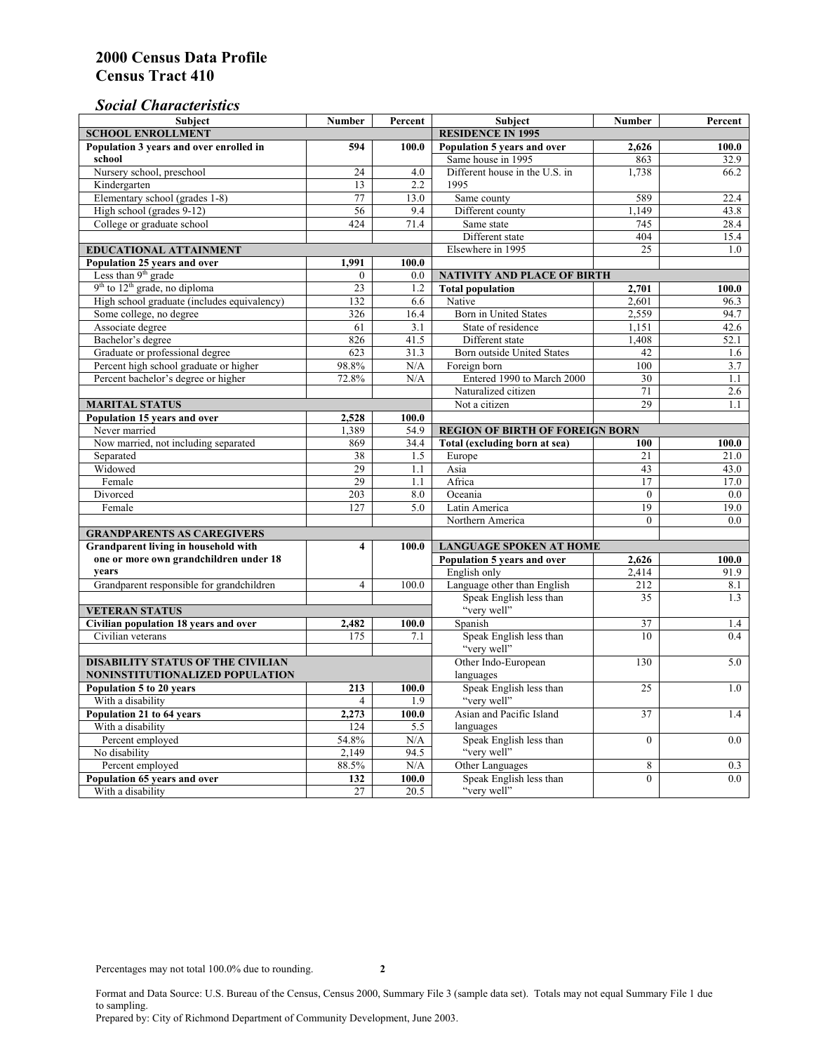### *Social Characteristics*

| <b>SCHOOL ENROLLMENT</b><br><b>RESIDENCE IN 1995</b><br>Population 3 years and over enrolled in<br>Population 5 years and over<br>100.0<br>594<br>100.0<br>2,626<br>Same house in 1995<br>school<br>863<br>32.9<br>Nursery school, preschool<br>Different house in the U.S. in<br>1,738<br>24<br>4.0<br>66.2<br>1995<br>Kindergarten<br>2.2<br>13<br>Elementary school (grades 1-8)<br>77<br>13.0<br>Same county<br>589<br>22.4<br>1.149<br>High school (grades 9-12)<br>56<br>9.4<br>Different county<br>43.8<br>College or graduate school<br>424<br>71.4<br>Same state<br>745<br>28.4<br>Different state<br>404<br>15.4<br>Elsewhere in 1995<br>25<br><b>EDUCATIONAL ATTAINMENT</b><br>1.0<br>Population 25 years and over<br>1,991<br>100.0<br>Less than 9 <sup>th</sup> grade<br>$\theta$<br>0.0<br>NATIVITY AND PLACE OF BIRTH<br>$9th$ to $12th$ grade, no diploma<br>23<br><b>Total population</b><br>1.2<br>2,701<br>100.0<br>High school graduate (includes equivalency)<br>132<br>Native<br>6.6<br>2.601<br>96.3<br>Some college, no degree<br><b>Born</b> in United States<br>326<br>2,559<br>94.7<br>16.4<br>Associate degree<br>61<br>3.1<br>State of residence<br>1,151<br>42.6<br>Bachelor's degree<br>826<br>41.5<br>Different state<br>1,408<br>52.1<br>31.3<br>Graduate or professional degree<br>623<br>42<br>Born outside United States<br>1.6<br>100<br>Percent high school graduate or higher<br>98.8%<br>N/A<br>Foreign born<br>3.7<br>Percent bachelor's degree or higher<br>Entered 1990 to March 2000<br>72.8%<br>30<br>N/A<br>1.1<br>Naturalized citizen<br>71<br>2.6<br>29<br>1.1<br><b>MARITAL STATUS</b><br>Not a citizen<br>Population 15 years and over<br>100.0<br>2,528<br>Never married<br>1,389<br>54.9<br><b>REGION OF BIRTH OF FOREIGN BORN</b><br>Now married, not including separated<br>Total (excluding born at sea)<br>869<br>34.4<br>100.0<br>100<br>Separated<br>38<br>1.5<br>Europe<br>21<br>21.0<br>Widowed<br>29<br>Asia<br>43<br>1.1<br>43.0<br>Female<br>29<br>1.1<br>Africa<br>17<br>17.0<br>203<br>Divorced<br>8.0<br>Oceania<br>$\Omega$<br>0.0<br>19<br>Female<br>127<br>5.0<br>Latin America<br>19.0<br>Northern America<br>$\theta$<br>0.0<br><b>GRANDPARENTS AS CAREGIVERS</b><br>Grandparent living in household with<br>$\overline{\mathbf{4}}$<br><b>LANGUAGE SPOKEN AT HOME</b><br>100.0<br>one or more own grandchildren under 18<br>Population 5 years and over<br>100.0<br>2,626<br>years<br>English only<br>2,414<br>91.9<br>Language other than English<br>212<br>Grandparent responsible for grandchildren<br>$\overline{4}$<br>100.0<br>8.1<br>Speak English less than<br>35<br>1.3<br>"very well"<br><b>VETERAN STATUS</b><br>Spanish<br>37<br>Civilian population 18 years and over<br>1.4<br>2,482<br>100.0<br>Speak English less than<br>10<br>Civilian veterans<br>175<br>7.1<br>0.4<br>"very well"<br>Other Indo-European<br><b>DISABILITY STATUS OF THE CIVILIAN</b><br>130<br>5.0<br>NONINSTITUTIONALIZED POPULATION<br>languages<br>Speak English less than<br>Population 5 to 20 years<br>213<br>25<br>100.0<br>1.0<br>"very well"<br>With a disability<br>1.9<br>$\overline{4}$<br>Population 21 to 64 years<br>2,273<br>Asian and Pacific Island<br>37<br>100.0<br>1.4<br>With a disability<br>124<br>5.5<br>languages<br>54.8%<br>Speak English less than<br>Percent employed<br>N/A<br>$\overline{0}$<br>0.0<br>"very well"<br>No disability<br>94.5<br>2,149<br>Other Languages<br>Percent employed<br>88.5%<br>N/A<br>8<br>0.3<br>Speak English less than<br>Population 65 years and over<br>132<br>100.0<br>$\mathbf{0}$<br>0.0<br>"very well"<br>20.5<br>With a disability<br>27 | <b>Subject</b> | <b>Number</b> | Percent | <b>Subject</b> | <b>Number</b> | Percent |
|-------------------------------------------------------------------------------------------------------------------------------------------------------------------------------------------------------------------------------------------------------------------------------------------------------------------------------------------------------------------------------------------------------------------------------------------------------------------------------------------------------------------------------------------------------------------------------------------------------------------------------------------------------------------------------------------------------------------------------------------------------------------------------------------------------------------------------------------------------------------------------------------------------------------------------------------------------------------------------------------------------------------------------------------------------------------------------------------------------------------------------------------------------------------------------------------------------------------------------------------------------------------------------------------------------------------------------------------------------------------------------------------------------------------------------------------------------------------------------------------------------------------------------------------------------------------------------------------------------------------------------------------------------------------------------------------------------------------------------------------------------------------------------------------------------------------------------------------------------------------------------------------------------------------------------------------------------------------------------------------------------------------------------------------------------------------------------------------------------------------------------------------------------------------------------------------------------------------------------------------------------------------------------------------------------------------------------------------------------------------------------------------------------------------------------------------------------------------------------------------------------------------------------------------------------------------------------------------------------------------------------------------------------------------------------------------------------------------------------------------------------------------------------------------------------------------------------------------------------------------------------------------------------------------------------------------------------------------------------------------------------------------------------------------------------------------------------------------------------------------------------------------------------------------------------------------------------------------------------------------------------------------------------------------------------------------------------------------------------------------------------------------------------------------------------------------------------------------------------------------------------------------------------------------------------------------------------------------------------------------------------------------------------------------------|----------------|---------------|---------|----------------|---------------|---------|
|                                                                                                                                                                                                                                                                                                                                                                                                                                                                                                                                                                                                                                                                                                                                                                                                                                                                                                                                                                                                                                                                                                                                                                                                                                                                                                                                                                                                                                                                                                                                                                                                                                                                                                                                                                                                                                                                                                                                                                                                                                                                                                                                                                                                                                                                                                                                                                                                                                                                                                                                                                                                                                                                                                                                                                                                                                                                                                                                                                                                                                                                                                                                                                                                                                                                                                                                                                                                                                                                                                                                                                                                                                                                         |                |               |         |                |               |         |
|                                                                                                                                                                                                                                                                                                                                                                                                                                                                                                                                                                                                                                                                                                                                                                                                                                                                                                                                                                                                                                                                                                                                                                                                                                                                                                                                                                                                                                                                                                                                                                                                                                                                                                                                                                                                                                                                                                                                                                                                                                                                                                                                                                                                                                                                                                                                                                                                                                                                                                                                                                                                                                                                                                                                                                                                                                                                                                                                                                                                                                                                                                                                                                                                                                                                                                                                                                                                                                                                                                                                                                                                                                                                         |                |               |         |                |               |         |
|                                                                                                                                                                                                                                                                                                                                                                                                                                                                                                                                                                                                                                                                                                                                                                                                                                                                                                                                                                                                                                                                                                                                                                                                                                                                                                                                                                                                                                                                                                                                                                                                                                                                                                                                                                                                                                                                                                                                                                                                                                                                                                                                                                                                                                                                                                                                                                                                                                                                                                                                                                                                                                                                                                                                                                                                                                                                                                                                                                                                                                                                                                                                                                                                                                                                                                                                                                                                                                                                                                                                                                                                                                                                         |                |               |         |                |               |         |
|                                                                                                                                                                                                                                                                                                                                                                                                                                                                                                                                                                                                                                                                                                                                                                                                                                                                                                                                                                                                                                                                                                                                                                                                                                                                                                                                                                                                                                                                                                                                                                                                                                                                                                                                                                                                                                                                                                                                                                                                                                                                                                                                                                                                                                                                                                                                                                                                                                                                                                                                                                                                                                                                                                                                                                                                                                                                                                                                                                                                                                                                                                                                                                                                                                                                                                                                                                                                                                                                                                                                                                                                                                                                         |                |               |         |                |               |         |
|                                                                                                                                                                                                                                                                                                                                                                                                                                                                                                                                                                                                                                                                                                                                                                                                                                                                                                                                                                                                                                                                                                                                                                                                                                                                                                                                                                                                                                                                                                                                                                                                                                                                                                                                                                                                                                                                                                                                                                                                                                                                                                                                                                                                                                                                                                                                                                                                                                                                                                                                                                                                                                                                                                                                                                                                                                                                                                                                                                                                                                                                                                                                                                                                                                                                                                                                                                                                                                                                                                                                                                                                                                                                         |                |               |         |                |               |         |
|                                                                                                                                                                                                                                                                                                                                                                                                                                                                                                                                                                                                                                                                                                                                                                                                                                                                                                                                                                                                                                                                                                                                                                                                                                                                                                                                                                                                                                                                                                                                                                                                                                                                                                                                                                                                                                                                                                                                                                                                                                                                                                                                                                                                                                                                                                                                                                                                                                                                                                                                                                                                                                                                                                                                                                                                                                                                                                                                                                                                                                                                                                                                                                                                                                                                                                                                                                                                                                                                                                                                                                                                                                                                         |                |               |         |                |               |         |
|                                                                                                                                                                                                                                                                                                                                                                                                                                                                                                                                                                                                                                                                                                                                                                                                                                                                                                                                                                                                                                                                                                                                                                                                                                                                                                                                                                                                                                                                                                                                                                                                                                                                                                                                                                                                                                                                                                                                                                                                                                                                                                                                                                                                                                                                                                                                                                                                                                                                                                                                                                                                                                                                                                                                                                                                                                                                                                                                                                                                                                                                                                                                                                                                                                                                                                                                                                                                                                                                                                                                                                                                                                                                         |                |               |         |                |               |         |
|                                                                                                                                                                                                                                                                                                                                                                                                                                                                                                                                                                                                                                                                                                                                                                                                                                                                                                                                                                                                                                                                                                                                                                                                                                                                                                                                                                                                                                                                                                                                                                                                                                                                                                                                                                                                                                                                                                                                                                                                                                                                                                                                                                                                                                                                                                                                                                                                                                                                                                                                                                                                                                                                                                                                                                                                                                                                                                                                                                                                                                                                                                                                                                                                                                                                                                                                                                                                                                                                                                                                                                                                                                                                         |                |               |         |                |               |         |
|                                                                                                                                                                                                                                                                                                                                                                                                                                                                                                                                                                                                                                                                                                                                                                                                                                                                                                                                                                                                                                                                                                                                                                                                                                                                                                                                                                                                                                                                                                                                                                                                                                                                                                                                                                                                                                                                                                                                                                                                                                                                                                                                                                                                                                                                                                                                                                                                                                                                                                                                                                                                                                                                                                                                                                                                                                                                                                                                                                                                                                                                                                                                                                                                                                                                                                                                                                                                                                                                                                                                                                                                                                                                         |                |               |         |                |               |         |
|                                                                                                                                                                                                                                                                                                                                                                                                                                                                                                                                                                                                                                                                                                                                                                                                                                                                                                                                                                                                                                                                                                                                                                                                                                                                                                                                                                                                                                                                                                                                                                                                                                                                                                                                                                                                                                                                                                                                                                                                                                                                                                                                                                                                                                                                                                                                                                                                                                                                                                                                                                                                                                                                                                                                                                                                                                                                                                                                                                                                                                                                                                                                                                                                                                                                                                                                                                                                                                                                                                                                                                                                                                                                         |                |               |         |                |               |         |
|                                                                                                                                                                                                                                                                                                                                                                                                                                                                                                                                                                                                                                                                                                                                                                                                                                                                                                                                                                                                                                                                                                                                                                                                                                                                                                                                                                                                                                                                                                                                                                                                                                                                                                                                                                                                                                                                                                                                                                                                                                                                                                                                                                                                                                                                                                                                                                                                                                                                                                                                                                                                                                                                                                                                                                                                                                                                                                                                                                                                                                                                                                                                                                                                                                                                                                                                                                                                                                                                                                                                                                                                                                                                         |                |               |         |                |               |         |
|                                                                                                                                                                                                                                                                                                                                                                                                                                                                                                                                                                                                                                                                                                                                                                                                                                                                                                                                                                                                                                                                                                                                                                                                                                                                                                                                                                                                                                                                                                                                                                                                                                                                                                                                                                                                                                                                                                                                                                                                                                                                                                                                                                                                                                                                                                                                                                                                                                                                                                                                                                                                                                                                                                                                                                                                                                                                                                                                                                                                                                                                                                                                                                                                                                                                                                                                                                                                                                                                                                                                                                                                                                                                         |                |               |         |                |               |         |
|                                                                                                                                                                                                                                                                                                                                                                                                                                                                                                                                                                                                                                                                                                                                                                                                                                                                                                                                                                                                                                                                                                                                                                                                                                                                                                                                                                                                                                                                                                                                                                                                                                                                                                                                                                                                                                                                                                                                                                                                                                                                                                                                                                                                                                                                                                                                                                                                                                                                                                                                                                                                                                                                                                                                                                                                                                                                                                                                                                                                                                                                                                                                                                                                                                                                                                                                                                                                                                                                                                                                                                                                                                                                         |                |               |         |                |               |         |
|                                                                                                                                                                                                                                                                                                                                                                                                                                                                                                                                                                                                                                                                                                                                                                                                                                                                                                                                                                                                                                                                                                                                                                                                                                                                                                                                                                                                                                                                                                                                                                                                                                                                                                                                                                                                                                                                                                                                                                                                                                                                                                                                                                                                                                                                                                                                                                                                                                                                                                                                                                                                                                                                                                                                                                                                                                                                                                                                                                                                                                                                                                                                                                                                                                                                                                                                                                                                                                                                                                                                                                                                                                                                         |                |               |         |                |               |         |
|                                                                                                                                                                                                                                                                                                                                                                                                                                                                                                                                                                                                                                                                                                                                                                                                                                                                                                                                                                                                                                                                                                                                                                                                                                                                                                                                                                                                                                                                                                                                                                                                                                                                                                                                                                                                                                                                                                                                                                                                                                                                                                                                                                                                                                                                                                                                                                                                                                                                                                                                                                                                                                                                                                                                                                                                                                                                                                                                                                                                                                                                                                                                                                                                                                                                                                                                                                                                                                                                                                                                                                                                                                                                         |                |               |         |                |               |         |
|                                                                                                                                                                                                                                                                                                                                                                                                                                                                                                                                                                                                                                                                                                                                                                                                                                                                                                                                                                                                                                                                                                                                                                                                                                                                                                                                                                                                                                                                                                                                                                                                                                                                                                                                                                                                                                                                                                                                                                                                                                                                                                                                                                                                                                                                                                                                                                                                                                                                                                                                                                                                                                                                                                                                                                                                                                                                                                                                                                                                                                                                                                                                                                                                                                                                                                                                                                                                                                                                                                                                                                                                                                                                         |                |               |         |                |               |         |
|                                                                                                                                                                                                                                                                                                                                                                                                                                                                                                                                                                                                                                                                                                                                                                                                                                                                                                                                                                                                                                                                                                                                                                                                                                                                                                                                                                                                                                                                                                                                                                                                                                                                                                                                                                                                                                                                                                                                                                                                                                                                                                                                                                                                                                                                                                                                                                                                                                                                                                                                                                                                                                                                                                                                                                                                                                                                                                                                                                                                                                                                                                                                                                                                                                                                                                                                                                                                                                                                                                                                                                                                                                                                         |                |               |         |                |               |         |
|                                                                                                                                                                                                                                                                                                                                                                                                                                                                                                                                                                                                                                                                                                                                                                                                                                                                                                                                                                                                                                                                                                                                                                                                                                                                                                                                                                                                                                                                                                                                                                                                                                                                                                                                                                                                                                                                                                                                                                                                                                                                                                                                                                                                                                                                                                                                                                                                                                                                                                                                                                                                                                                                                                                                                                                                                                                                                                                                                                                                                                                                                                                                                                                                                                                                                                                                                                                                                                                                                                                                                                                                                                                                         |                |               |         |                |               |         |
|                                                                                                                                                                                                                                                                                                                                                                                                                                                                                                                                                                                                                                                                                                                                                                                                                                                                                                                                                                                                                                                                                                                                                                                                                                                                                                                                                                                                                                                                                                                                                                                                                                                                                                                                                                                                                                                                                                                                                                                                                                                                                                                                                                                                                                                                                                                                                                                                                                                                                                                                                                                                                                                                                                                                                                                                                                                                                                                                                                                                                                                                                                                                                                                                                                                                                                                                                                                                                                                                                                                                                                                                                                                                         |                |               |         |                |               |         |
|                                                                                                                                                                                                                                                                                                                                                                                                                                                                                                                                                                                                                                                                                                                                                                                                                                                                                                                                                                                                                                                                                                                                                                                                                                                                                                                                                                                                                                                                                                                                                                                                                                                                                                                                                                                                                                                                                                                                                                                                                                                                                                                                                                                                                                                                                                                                                                                                                                                                                                                                                                                                                                                                                                                                                                                                                                                                                                                                                                                                                                                                                                                                                                                                                                                                                                                                                                                                                                                                                                                                                                                                                                                                         |                |               |         |                |               |         |
|                                                                                                                                                                                                                                                                                                                                                                                                                                                                                                                                                                                                                                                                                                                                                                                                                                                                                                                                                                                                                                                                                                                                                                                                                                                                                                                                                                                                                                                                                                                                                                                                                                                                                                                                                                                                                                                                                                                                                                                                                                                                                                                                                                                                                                                                                                                                                                                                                                                                                                                                                                                                                                                                                                                                                                                                                                                                                                                                                                                                                                                                                                                                                                                                                                                                                                                                                                                                                                                                                                                                                                                                                                                                         |                |               |         |                |               |         |
|                                                                                                                                                                                                                                                                                                                                                                                                                                                                                                                                                                                                                                                                                                                                                                                                                                                                                                                                                                                                                                                                                                                                                                                                                                                                                                                                                                                                                                                                                                                                                                                                                                                                                                                                                                                                                                                                                                                                                                                                                                                                                                                                                                                                                                                                                                                                                                                                                                                                                                                                                                                                                                                                                                                                                                                                                                                                                                                                                                                                                                                                                                                                                                                                                                                                                                                                                                                                                                                                                                                                                                                                                                                                         |                |               |         |                |               |         |
|                                                                                                                                                                                                                                                                                                                                                                                                                                                                                                                                                                                                                                                                                                                                                                                                                                                                                                                                                                                                                                                                                                                                                                                                                                                                                                                                                                                                                                                                                                                                                                                                                                                                                                                                                                                                                                                                                                                                                                                                                                                                                                                                                                                                                                                                                                                                                                                                                                                                                                                                                                                                                                                                                                                                                                                                                                                                                                                                                                                                                                                                                                                                                                                                                                                                                                                                                                                                                                                                                                                                                                                                                                                                         |                |               |         |                |               |         |
|                                                                                                                                                                                                                                                                                                                                                                                                                                                                                                                                                                                                                                                                                                                                                                                                                                                                                                                                                                                                                                                                                                                                                                                                                                                                                                                                                                                                                                                                                                                                                                                                                                                                                                                                                                                                                                                                                                                                                                                                                                                                                                                                                                                                                                                                                                                                                                                                                                                                                                                                                                                                                                                                                                                                                                                                                                                                                                                                                                                                                                                                                                                                                                                                                                                                                                                                                                                                                                                                                                                                                                                                                                                                         |                |               |         |                |               |         |
|                                                                                                                                                                                                                                                                                                                                                                                                                                                                                                                                                                                                                                                                                                                                                                                                                                                                                                                                                                                                                                                                                                                                                                                                                                                                                                                                                                                                                                                                                                                                                                                                                                                                                                                                                                                                                                                                                                                                                                                                                                                                                                                                                                                                                                                                                                                                                                                                                                                                                                                                                                                                                                                                                                                                                                                                                                                                                                                                                                                                                                                                                                                                                                                                                                                                                                                                                                                                                                                                                                                                                                                                                                                                         |                |               |         |                |               |         |
|                                                                                                                                                                                                                                                                                                                                                                                                                                                                                                                                                                                                                                                                                                                                                                                                                                                                                                                                                                                                                                                                                                                                                                                                                                                                                                                                                                                                                                                                                                                                                                                                                                                                                                                                                                                                                                                                                                                                                                                                                                                                                                                                                                                                                                                                                                                                                                                                                                                                                                                                                                                                                                                                                                                                                                                                                                                                                                                                                                                                                                                                                                                                                                                                                                                                                                                                                                                                                                                                                                                                                                                                                                                                         |                |               |         |                |               |         |
|                                                                                                                                                                                                                                                                                                                                                                                                                                                                                                                                                                                                                                                                                                                                                                                                                                                                                                                                                                                                                                                                                                                                                                                                                                                                                                                                                                                                                                                                                                                                                                                                                                                                                                                                                                                                                                                                                                                                                                                                                                                                                                                                                                                                                                                                                                                                                                                                                                                                                                                                                                                                                                                                                                                                                                                                                                                                                                                                                                                                                                                                                                                                                                                                                                                                                                                                                                                                                                                                                                                                                                                                                                                                         |                |               |         |                |               |         |
|                                                                                                                                                                                                                                                                                                                                                                                                                                                                                                                                                                                                                                                                                                                                                                                                                                                                                                                                                                                                                                                                                                                                                                                                                                                                                                                                                                                                                                                                                                                                                                                                                                                                                                                                                                                                                                                                                                                                                                                                                                                                                                                                                                                                                                                                                                                                                                                                                                                                                                                                                                                                                                                                                                                                                                                                                                                                                                                                                                                                                                                                                                                                                                                                                                                                                                                                                                                                                                                                                                                                                                                                                                                                         |                |               |         |                |               |         |
|                                                                                                                                                                                                                                                                                                                                                                                                                                                                                                                                                                                                                                                                                                                                                                                                                                                                                                                                                                                                                                                                                                                                                                                                                                                                                                                                                                                                                                                                                                                                                                                                                                                                                                                                                                                                                                                                                                                                                                                                                                                                                                                                                                                                                                                                                                                                                                                                                                                                                                                                                                                                                                                                                                                                                                                                                                                                                                                                                                                                                                                                                                                                                                                                                                                                                                                                                                                                                                                                                                                                                                                                                                                                         |                |               |         |                |               |         |
|                                                                                                                                                                                                                                                                                                                                                                                                                                                                                                                                                                                                                                                                                                                                                                                                                                                                                                                                                                                                                                                                                                                                                                                                                                                                                                                                                                                                                                                                                                                                                                                                                                                                                                                                                                                                                                                                                                                                                                                                                                                                                                                                                                                                                                                                                                                                                                                                                                                                                                                                                                                                                                                                                                                                                                                                                                                                                                                                                                                                                                                                                                                                                                                                                                                                                                                                                                                                                                                                                                                                                                                                                                                                         |                |               |         |                |               |         |
|                                                                                                                                                                                                                                                                                                                                                                                                                                                                                                                                                                                                                                                                                                                                                                                                                                                                                                                                                                                                                                                                                                                                                                                                                                                                                                                                                                                                                                                                                                                                                                                                                                                                                                                                                                                                                                                                                                                                                                                                                                                                                                                                                                                                                                                                                                                                                                                                                                                                                                                                                                                                                                                                                                                                                                                                                                                                                                                                                                                                                                                                                                                                                                                                                                                                                                                                                                                                                                                                                                                                                                                                                                                                         |                |               |         |                |               |         |
|                                                                                                                                                                                                                                                                                                                                                                                                                                                                                                                                                                                                                                                                                                                                                                                                                                                                                                                                                                                                                                                                                                                                                                                                                                                                                                                                                                                                                                                                                                                                                                                                                                                                                                                                                                                                                                                                                                                                                                                                                                                                                                                                                                                                                                                                                                                                                                                                                                                                                                                                                                                                                                                                                                                                                                                                                                                                                                                                                                                                                                                                                                                                                                                                                                                                                                                                                                                                                                                                                                                                                                                                                                                                         |                |               |         |                |               |         |
|                                                                                                                                                                                                                                                                                                                                                                                                                                                                                                                                                                                                                                                                                                                                                                                                                                                                                                                                                                                                                                                                                                                                                                                                                                                                                                                                                                                                                                                                                                                                                                                                                                                                                                                                                                                                                                                                                                                                                                                                                                                                                                                                                                                                                                                                                                                                                                                                                                                                                                                                                                                                                                                                                                                                                                                                                                                                                                                                                                                                                                                                                                                                                                                                                                                                                                                                                                                                                                                                                                                                                                                                                                                                         |                |               |         |                |               |         |
|                                                                                                                                                                                                                                                                                                                                                                                                                                                                                                                                                                                                                                                                                                                                                                                                                                                                                                                                                                                                                                                                                                                                                                                                                                                                                                                                                                                                                                                                                                                                                                                                                                                                                                                                                                                                                                                                                                                                                                                                                                                                                                                                                                                                                                                                                                                                                                                                                                                                                                                                                                                                                                                                                                                                                                                                                                                                                                                                                                                                                                                                                                                                                                                                                                                                                                                                                                                                                                                                                                                                                                                                                                                                         |                |               |         |                |               |         |
|                                                                                                                                                                                                                                                                                                                                                                                                                                                                                                                                                                                                                                                                                                                                                                                                                                                                                                                                                                                                                                                                                                                                                                                                                                                                                                                                                                                                                                                                                                                                                                                                                                                                                                                                                                                                                                                                                                                                                                                                                                                                                                                                                                                                                                                                                                                                                                                                                                                                                                                                                                                                                                                                                                                                                                                                                                                                                                                                                                                                                                                                                                                                                                                                                                                                                                                                                                                                                                                                                                                                                                                                                                                                         |                |               |         |                |               |         |
|                                                                                                                                                                                                                                                                                                                                                                                                                                                                                                                                                                                                                                                                                                                                                                                                                                                                                                                                                                                                                                                                                                                                                                                                                                                                                                                                                                                                                                                                                                                                                                                                                                                                                                                                                                                                                                                                                                                                                                                                                                                                                                                                                                                                                                                                                                                                                                                                                                                                                                                                                                                                                                                                                                                                                                                                                                                                                                                                                                                                                                                                                                                                                                                                                                                                                                                                                                                                                                                                                                                                                                                                                                                                         |                |               |         |                |               |         |
|                                                                                                                                                                                                                                                                                                                                                                                                                                                                                                                                                                                                                                                                                                                                                                                                                                                                                                                                                                                                                                                                                                                                                                                                                                                                                                                                                                                                                                                                                                                                                                                                                                                                                                                                                                                                                                                                                                                                                                                                                                                                                                                                                                                                                                                                                                                                                                                                                                                                                                                                                                                                                                                                                                                                                                                                                                                                                                                                                                                                                                                                                                                                                                                                                                                                                                                                                                                                                                                                                                                                                                                                                                                                         |                |               |         |                |               |         |
|                                                                                                                                                                                                                                                                                                                                                                                                                                                                                                                                                                                                                                                                                                                                                                                                                                                                                                                                                                                                                                                                                                                                                                                                                                                                                                                                                                                                                                                                                                                                                                                                                                                                                                                                                                                                                                                                                                                                                                                                                                                                                                                                                                                                                                                                                                                                                                                                                                                                                                                                                                                                                                                                                                                                                                                                                                                                                                                                                                                                                                                                                                                                                                                                                                                                                                                                                                                                                                                                                                                                                                                                                                                                         |                |               |         |                |               |         |
|                                                                                                                                                                                                                                                                                                                                                                                                                                                                                                                                                                                                                                                                                                                                                                                                                                                                                                                                                                                                                                                                                                                                                                                                                                                                                                                                                                                                                                                                                                                                                                                                                                                                                                                                                                                                                                                                                                                                                                                                                                                                                                                                                                                                                                                                                                                                                                                                                                                                                                                                                                                                                                                                                                                                                                                                                                                                                                                                                                                                                                                                                                                                                                                                                                                                                                                                                                                                                                                                                                                                                                                                                                                                         |                |               |         |                |               |         |
|                                                                                                                                                                                                                                                                                                                                                                                                                                                                                                                                                                                                                                                                                                                                                                                                                                                                                                                                                                                                                                                                                                                                                                                                                                                                                                                                                                                                                                                                                                                                                                                                                                                                                                                                                                                                                                                                                                                                                                                                                                                                                                                                                                                                                                                                                                                                                                                                                                                                                                                                                                                                                                                                                                                                                                                                                                                                                                                                                                                                                                                                                                                                                                                                                                                                                                                                                                                                                                                                                                                                                                                                                                                                         |                |               |         |                |               |         |
|                                                                                                                                                                                                                                                                                                                                                                                                                                                                                                                                                                                                                                                                                                                                                                                                                                                                                                                                                                                                                                                                                                                                                                                                                                                                                                                                                                                                                                                                                                                                                                                                                                                                                                                                                                                                                                                                                                                                                                                                                                                                                                                                                                                                                                                                                                                                                                                                                                                                                                                                                                                                                                                                                                                                                                                                                                                                                                                                                                                                                                                                                                                                                                                                                                                                                                                                                                                                                                                                                                                                                                                                                                                                         |                |               |         |                |               |         |
|                                                                                                                                                                                                                                                                                                                                                                                                                                                                                                                                                                                                                                                                                                                                                                                                                                                                                                                                                                                                                                                                                                                                                                                                                                                                                                                                                                                                                                                                                                                                                                                                                                                                                                                                                                                                                                                                                                                                                                                                                                                                                                                                                                                                                                                                                                                                                                                                                                                                                                                                                                                                                                                                                                                                                                                                                                                                                                                                                                                                                                                                                                                                                                                                                                                                                                                                                                                                                                                                                                                                                                                                                                                                         |                |               |         |                |               |         |
|                                                                                                                                                                                                                                                                                                                                                                                                                                                                                                                                                                                                                                                                                                                                                                                                                                                                                                                                                                                                                                                                                                                                                                                                                                                                                                                                                                                                                                                                                                                                                                                                                                                                                                                                                                                                                                                                                                                                                                                                                                                                                                                                                                                                                                                                                                                                                                                                                                                                                                                                                                                                                                                                                                                                                                                                                                                                                                                                                                                                                                                                                                                                                                                                                                                                                                                                                                                                                                                                                                                                                                                                                                                                         |                |               |         |                |               |         |
|                                                                                                                                                                                                                                                                                                                                                                                                                                                                                                                                                                                                                                                                                                                                                                                                                                                                                                                                                                                                                                                                                                                                                                                                                                                                                                                                                                                                                                                                                                                                                                                                                                                                                                                                                                                                                                                                                                                                                                                                                                                                                                                                                                                                                                                                                                                                                                                                                                                                                                                                                                                                                                                                                                                                                                                                                                                                                                                                                                                                                                                                                                                                                                                                                                                                                                                                                                                                                                                                                                                                                                                                                                                                         |                |               |         |                |               |         |
|                                                                                                                                                                                                                                                                                                                                                                                                                                                                                                                                                                                                                                                                                                                                                                                                                                                                                                                                                                                                                                                                                                                                                                                                                                                                                                                                                                                                                                                                                                                                                                                                                                                                                                                                                                                                                                                                                                                                                                                                                                                                                                                                                                                                                                                                                                                                                                                                                                                                                                                                                                                                                                                                                                                                                                                                                                                                                                                                                                                                                                                                                                                                                                                                                                                                                                                                                                                                                                                                                                                                                                                                                                                                         |                |               |         |                |               |         |
|                                                                                                                                                                                                                                                                                                                                                                                                                                                                                                                                                                                                                                                                                                                                                                                                                                                                                                                                                                                                                                                                                                                                                                                                                                                                                                                                                                                                                                                                                                                                                                                                                                                                                                                                                                                                                                                                                                                                                                                                                                                                                                                                                                                                                                                                                                                                                                                                                                                                                                                                                                                                                                                                                                                                                                                                                                                                                                                                                                                                                                                                                                                                                                                                                                                                                                                                                                                                                                                                                                                                                                                                                                                                         |                |               |         |                |               |         |
|                                                                                                                                                                                                                                                                                                                                                                                                                                                                                                                                                                                                                                                                                                                                                                                                                                                                                                                                                                                                                                                                                                                                                                                                                                                                                                                                                                                                                                                                                                                                                                                                                                                                                                                                                                                                                                                                                                                                                                                                                                                                                                                                                                                                                                                                                                                                                                                                                                                                                                                                                                                                                                                                                                                                                                                                                                                                                                                                                                                                                                                                                                                                                                                                                                                                                                                                                                                                                                                                                                                                                                                                                                                                         |                |               |         |                |               |         |
|                                                                                                                                                                                                                                                                                                                                                                                                                                                                                                                                                                                                                                                                                                                                                                                                                                                                                                                                                                                                                                                                                                                                                                                                                                                                                                                                                                                                                                                                                                                                                                                                                                                                                                                                                                                                                                                                                                                                                                                                                                                                                                                                                                                                                                                                                                                                                                                                                                                                                                                                                                                                                                                                                                                                                                                                                                                                                                                                                                                                                                                                                                                                                                                                                                                                                                                                                                                                                                                                                                                                                                                                                                                                         |                |               |         |                |               |         |
|                                                                                                                                                                                                                                                                                                                                                                                                                                                                                                                                                                                                                                                                                                                                                                                                                                                                                                                                                                                                                                                                                                                                                                                                                                                                                                                                                                                                                                                                                                                                                                                                                                                                                                                                                                                                                                                                                                                                                                                                                                                                                                                                                                                                                                                                                                                                                                                                                                                                                                                                                                                                                                                                                                                                                                                                                                                                                                                                                                                                                                                                                                                                                                                                                                                                                                                                                                                                                                                                                                                                                                                                                                                                         |                |               |         |                |               |         |
|                                                                                                                                                                                                                                                                                                                                                                                                                                                                                                                                                                                                                                                                                                                                                                                                                                                                                                                                                                                                                                                                                                                                                                                                                                                                                                                                                                                                                                                                                                                                                                                                                                                                                                                                                                                                                                                                                                                                                                                                                                                                                                                                                                                                                                                                                                                                                                                                                                                                                                                                                                                                                                                                                                                                                                                                                                                                                                                                                                                                                                                                                                                                                                                                                                                                                                                                                                                                                                                                                                                                                                                                                                                                         |                |               |         |                |               |         |
|                                                                                                                                                                                                                                                                                                                                                                                                                                                                                                                                                                                                                                                                                                                                                                                                                                                                                                                                                                                                                                                                                                                                                                                                                                                                                                                                                                                                                                                                                                                                                                                                                                                                                                                                                                                                                                                                                                                                                                                                                                                                                                                                                                                                                                                                                                                                                                                                                                                                                                                                                                                                                                                                                                                                                                                                                                                                                                                                                                                                                                                                                                                                                                                                                                                                                                                                                                                                                                                                                                                                                                                                                                                                         |                |               |         |                |               |         |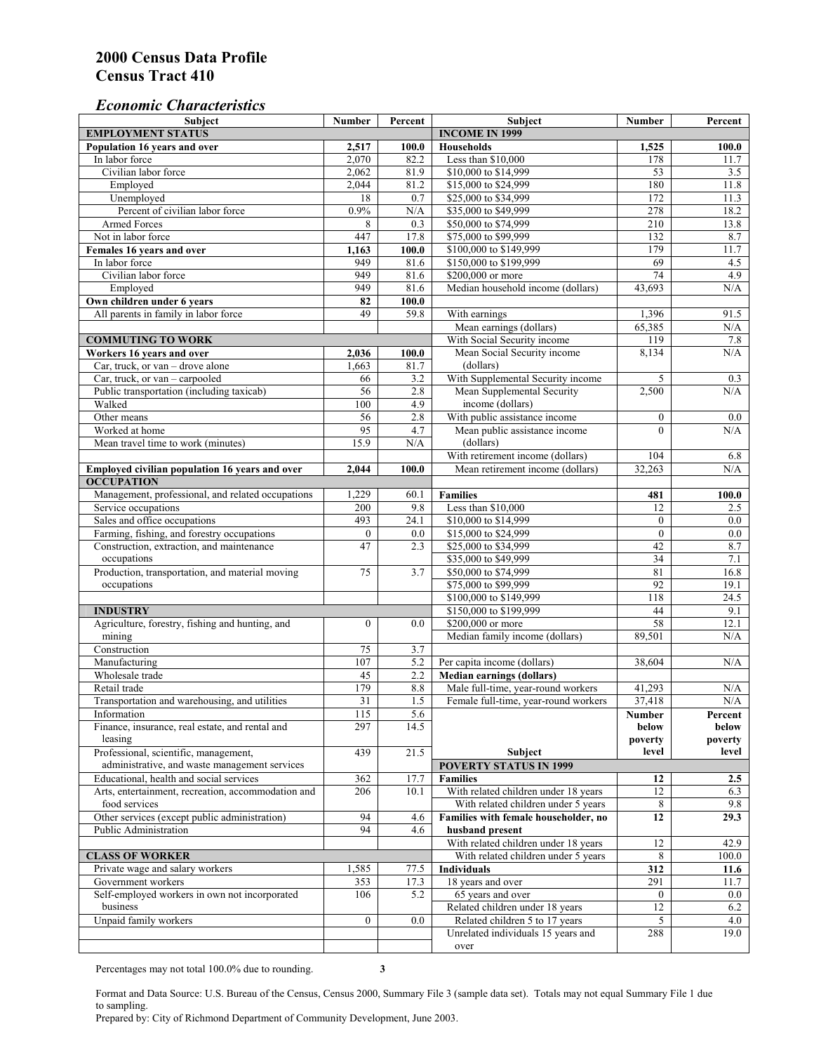### *Economic Characteristics*

| Subject                                                        | <b>Number</b>    | Percent          | Subject                                                                    | <b>Number</b>    | Percent          |
|----------------------------------------------------------------|------------------|------------------|----------------------------------------------------------------------------|------------------|------------------|
| <b>EMPLOYMENT STATUS</b>                                       |                  |                  | <b>INCOME IN 1999</b>                                                      |                  |                  |
| Population 16 years and over                                   | 2,517            | 100.0            | <b>Households</b>                                                          | 1,525            | 100.0            |
| In labor force                                                 | 2,070            | 82.2             | Less than \$10,000                                                         | 178              | 11.7             |
| Civilian labor force                                           | 2,062            | 81.9             | \$10,000 to \$14,999                                                       | 53               | 3.5              |
| Employed                                                       | 2,044            | 81.2             | \$15,000 to \$24,999                                                       | 180              | 11.8             |
| Unemployed                                                     | 18               | $\overline{0.7}$ | \$25,000 to \$34,999                                                       | 172              | 11.3             |
| Percent of civilian labor force                                | 0.9%             | N/A              | \$35,000 to \$49,999                                                       | 278              | 18.2             |
| <b>Armed Forces</b>                                            | 8                | 0.3              | \$50,000 to \$74,999                                                       | 210              | 13.8             |
| Not in labor force                                             | 447              | 17.8             | \$75,000 to \$99,999                                                       | 132              | 8.7              |
| Females 16 years and over                                      | 1,163            | 100.0            | \$100,000 to \$149,999                                                     | 179              | 11.7             |
| In labor force                                                 | 949              | 81.6             | \$150,000 to \$199,999                                                     | 69               | 4.5              |
| Civilian labor force                                           | 949              | 81.6             | \$200,000 or more                                                          | 74               | 4.9              |
| Employed                                                       | 949              | 81.6             | Median household income (dollars)                                          | 43,693           | N/A              |
| Own children under 6 years                                     | 82               | 100.0            |                                                                            |                  |                  |
| All parents in family in labor force                           | 49               | 59.8             | With earnings                                                              | 1,396            | 91.5             |
|                                                                |                  |                  | Mean earnings (dollars)                                                    | 65,385           | N/A              |
| <b>COMMUTING TO WORK</b>                                       |                  |                  | With Social Security income                                                | 119              | 7.8              |
| Workers 16 years and over                                      | 2,036            | 100.0            | Mean Social Security income                                                | 8,134            | N/A              |
| Car, truck, or van - drove alone                               | 1,663            | 81.7             | (dollars)                                                                  |                  |                  |
| Car, truck, or van - carpooled                                 | 66               | 3.2              | With Supplemental Security income                                          | 5                | 0.3              |
| Public transportation (including taxicab)                      | 56               | 2.8              | Mean Supplemental Security                                                 | 2,500            | N/A              |
| Walked                                                         | 100              | 4.9              | income (dollars)                                                           |                  |                  |
| Other means                                                    | 56               | 2.8              | With public assistance income                                              | $\boldsymbol{0}$ | $0.0\,$          |
| Worked at home                                                 | 95               | 4.7              | Mean public assistance income                                              | $\theta$         | N/A              |
| Mean travel time to work (minutes)                             | 15.9             | N/A              | (dollars)                                                                  |                  |                  |
|                                                                |                  |                  | With retirement income (dollars)                                           | 104              | 6.8              |
| Employed civilian population 16 years and over                 | 2.044            | 100.0            | Mean retirement income (dollars)                                           | 32,263           | N/A              |
| <b>OCCUPATION</b>                                              |                  |                  |                                                                            |                  |                  |
| Management, professional, and related occupations              | 1,229            | 60.1             | <b>Families</b>                                                            | 481              | 100.0            |
| Service occupations                                            | 200              | 9.8              | Less than \$10,000                                                         | 12               | 2.5              |
| Sales and office occupations                                   | 493              | 24.1             | \$10,000 to \$14,999                                                       | $\boldsymbol{0}$ | $0.0\,$          |
| Farming, fishing, and forestry occupations                     | $\boldsymbol{0}$ | 0.0              | \$15,000 to \$24,999                                                       | $\mathbf{0}$     | $\overline{0.0}$ |
| Construction, extraction, and maintenance                      | 47               | 2.3              | \$25,000 to \$34,999                                                       | 42               | 8.7              |
| occupations                                                    |                  |                  | \$35,000 to \$49,999                                                       | $\overline{34}$  | 7.1              |
| Production, transportation, and material moving                | 75               | 3.7              | \$50,000 to \$74,999                                                       | 81               | 16.8             |
| occupations                                                    |                  |                  | \$75,000 to \$99,999                                                       | 92               | 19.1             |
|                                                                |                  |                  | \$100,000 to \$149,999                                                     | 118              | 24.5             |
| <b>INDUSTRY</b>                                                |                  |                  | \$150,000 to \$199,999                                                     | 44               | 9.1              |
| Agriculture, forestry, fishing and hunting, and                | $\boldsymbol{0}$ | 0.0              | \$200,000 or more                                                          | 58               | 12.1             |
| mining                                                         |                  |                  | Median family income (dollars)                                             | 89,501           | N/A              |
| Construction                                                   | 75               | 3.7              |                                                                            |                  |                  |
| Manufacturing                                                  | 107              | 5.2              | Per capita income (dollars)                                                | 38,604           | N/A              |
| Wholesale trade                                                | 45               |                  |                                                                            |                  |                  |
| Retail trade                                                   | 179              | 2.2<br>8.8       | <b>Median earnings (dollars)</b>                                           |                  |                  |
| Transportation and warehousing, and utilities                  | 31               | 1.5              | Male full-time, year-round workers<br>Female full-time, year-round workers | 41,293<br>37,418 | N/A<br>$\rm N/A$ |
|                                                                |                  |                  |                                                                            |                  |                  |
| Information<br>Finance, insurance, real estate, and rental and | 115<br>297       | 5.6<br>14.5      |                                                                            | Number           | Percent          |
|                                                                |                  |                  |                                                                            | below<br>poverty | below            |
| leasing<br>Professional, scientific, management,               |                  | 21.5             | Subject                                                                    | level            | poverty<br>level |
| administrative, and waste management services                  | 439              |                  | <b>POVERTY STATUS IN 1999</b>                                              |                  |                  |
| Educational, health and social services                        |                  |                  |                                                                            |                  |                  |
|                                                                | 362              | 17.7             | <b>Families</b>                                                            | 12               | 2.5              |
| Arts, entertainment, recreation, accommodation and             | 206              | 10.1             | With related children under 18 years                                       | 12               | 6.3              |
| food services                                                  |                  |                  | With related children under 5 years                                        | 8                | 9.8              |
| Other services (except public administration)                  | 94               | 4.6              | Families with female householder, no                                       | 12               | 29.3             |
| Public Administration                                          | 94               | 4.6              | husband present                                                            |                  |                  |
|                                                                |                  |                  | With related children under 18 years                                       | 12               | 42.9             |
| <b>CLASS OF WORKER</b>                                         |                  |                  | With related children under 5 years                                        | 8                | 100.0            |
| Private wage and salary workers                                | 1,585            | 77.5             | <b>Individuals</b>                                                         | 312              | 11.6             |
| Government workers                                             | 353              | 17.3             | 18 years and over                                                          | 291              | 11.7             |
| Self-employed workers in own not incorporated                  | 106              | 5.2              | 65 years and over                                                          | $\boldsymbol{0}$ | $0.0\,$          |
| business                                                       |                  |                  | Related children under 18 years                                            | 12               | 6.2              |
| Unpaid family workers                                          | $\overline{0}$   | 0.0              | Related children 5 to 17 years                                             | 5                | 4.0              |
|                                                                |                  |                  | Unrelated individuals 15 years and                                         | 288              | 19.0             |
|                                                                |                  |                  | over                                                                       |                  |                  |

Percentages may not total 100.0% due to rounding. **3** 

Format and Data Source: U.S. Bureau of the Census, Census 2000, Summary File 3 (sample data set). Totals may not equal Summary File 1 due to sampling.

Prepared by: City of Richmond Department of Community Development, June 2003.